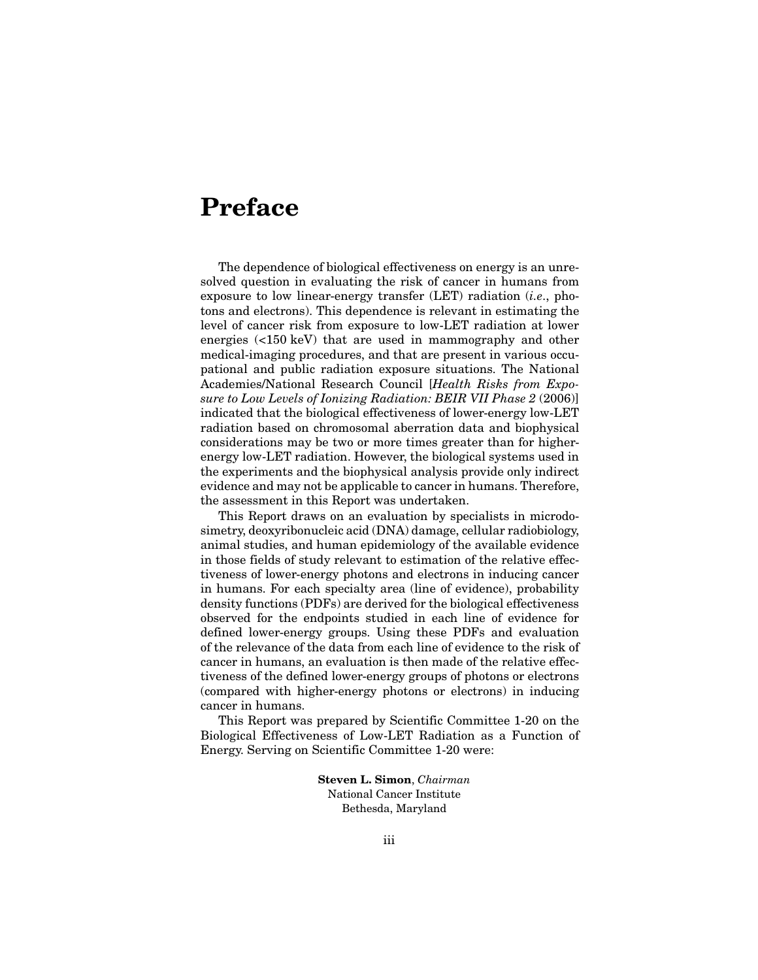## **Preface**

The dependence of biological effectiveness on energy is an unresolved question in evaluating the risk of cancer in humans from exposure to low linear-energy transfer (LET) radiation (*i.e*., photons and electrons). This dependence is relevant in estimating the level of cancer risk from exposure to low-LET radiation at lower energies (<150 keV) that are used in mammography and other medical-imaging procedures, and that are present in various occupational and public radiation exposure situations. The National Academies/National Research Council [*Health Risks from Exposure to Low Levels of Ionizing Radiation: BEIR VII Phase 2* (2006)] indicated that the biological effectiveness of lower-energy low-LET radiation based on chromosomal aberration data and biophysical considerations may be two or more times greater than for higherenergy low-LET radiation. However, the biological systems used in the experiments and the biophysical analysis provide only indirect evidence and may not be applicable to cancer in humans. Therefore, the assessment in this Report was undertaken.

This Report draws on an evaluation by specialists in microdosimetry, deoxyribonucleic acid (DNA) damage, cellular radiobiology, animal studies, and human epidemiology of the available evidence in those fields of study relevant to estimation of the relative effectiveness of lower-energy photons and electrons in inducing cancer in humans. For each specialty area (line of evidence), probability density functions (PDFs) are derived for the biological effectiveness observed for the endpoints studied in each line of evidence for defined lower-energy groups. Using these PDFs and evaluation of the relevance of the data from each line of evidence to the risk of cancer in humans, an evaluation is then made of the relative effectiveness of the defined lower-energy groups of photons or electrons (compared with higher-energy photons or electrons) in inducing cancer in humans.

This Report was prepared by Scientific Committee 1-20 on the Biological Effectiveness of Low-LET Radiation as a Function of Energy. Serving on Scientific Committee 1-20 were:

> **Steven L. Simon**, *Chairman* National Cancer Institute Bethesda, Maryland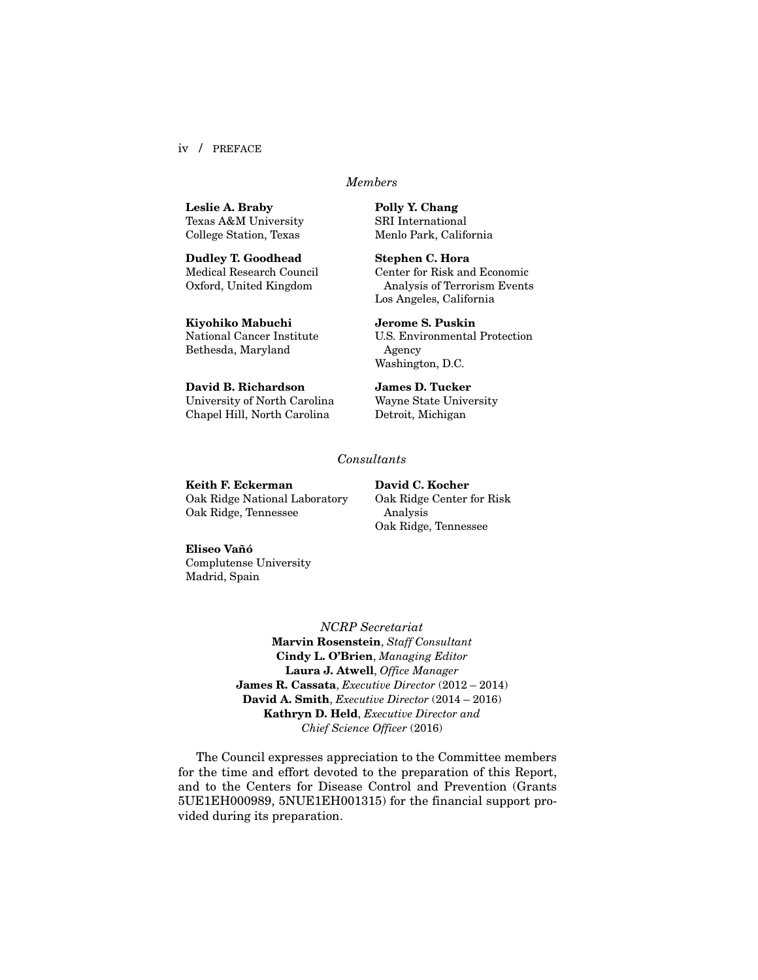iv / PREFACE

## *Members*

**Leslie A. Braby** Texas A&M University College Station, Texas

**Dudley T. Goodhead** Medical Research Council Oxford, United Kingdom

**Kiyohiko Mabuchi** National Cancer Institute Bethesda, Maryland

**David B. Richardson** University of North Carolina Chapel Hill, North Carolina

**Polly Y. Chang**  SRI International Menlo Park, California

**Stephen C. Hora** Center for Risk and Economic Analysis of Terrorism Events Los Angeles, California

**Jerome S. Puskin**  U.S. Environmental Protection Agency Washington, D.C.

**James D. Tucker** Wayne State University Detroit, Michigan

## *Consultants*

**Keith F. Eckerman** Oak Ridge National Laboratory Oak Ridge, Tennessee

**David C. Kocher**  Oak Ridge Center for Risk Analysis Oak Ridge, Tennessee

## **Eliseo Vañó**

Complutense University Madrid, Spain

> *NCRP Secretariat* **Marvin Rosenstein**, *Staff Consultant* **Cindy L. O'Brien**, *Managing Editor* **Laura J. Atwell**, *Office Manager* **James R. Cassata**, *Executive Director* (2012 – 2014) **David A. Smith**, *Executive Director* (2014 – 2016) **Kathryn D. Held**, *Executive Director and Chief Science Officer* (2016)

The Council expresses appreciation to the Committee members for the time and effort devoted to the preparation of this Report, and to the Centers for Disease Control and Prevention (Grants 5UE1EH000989, 5NUE1EH001315) for the financial support provided during its preparation.